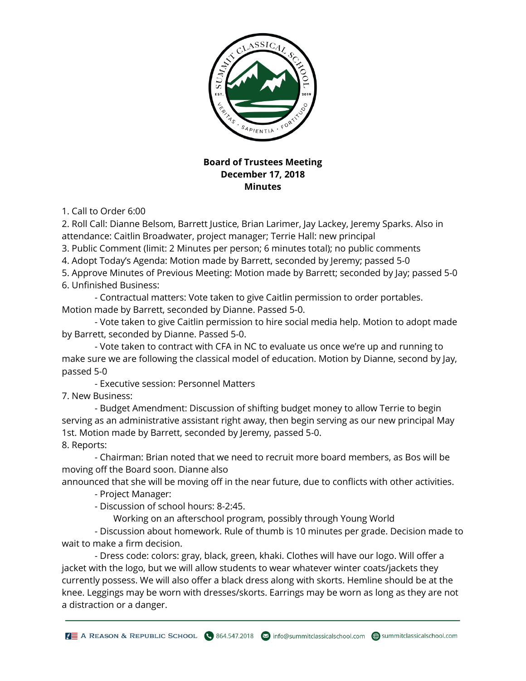

## **Board of Trustees Meeting December 17, 2018 Minutes**

1. Call to Order 6:00

2. Roll Call: Dianne Belsom, Barrett Justice, Brian Larimer, Jay Lackey, Jeremy Sparks. Also in attendance: Caitlin Broadwater, project manager; Terrie Hall: new principal

3. Public Comment (limit: 2 Minutes per person; 6 minutes total); no public comments

4. Adopt Today's Agenda: Motion made by Barrett, seconded by Jeremy; passed 5-0

5. Approve Minutes of Previous Meeting: Motion made by Barrett; seconded by Jay; passed 5-0 6. Unfinished Business:

 - Contractual matters: Vote taken to give Caitlin permission to order portables. Motion made by Barrett, seconded by Dianne. Passed 5-0.

 - Vote taken to give Caitlin permission to hire social media help. Motion to adopt made by Barrett, seconded by Dianne. Passed 5-0.

 - Vote taken to contract with CFA in NC to evaluate us once we're up and running to make sure we are following the classical model of education. Motion by Dianne, second by Jay, passed 5-0

- Executive session: Personnel Matters

7. New Business:

 - Budget Amendment: Discussion of shifting budget money to allow Terrie to begin serving as an administrative assistant right away, then begin serving as our new principal May 1st. Motion made by Barrett, seconded by Jeremy, passed 5-0. 8. Reports:

 - Chairman: Brian noted that we need to recruit more board members, as Bos will be moving off the Board soon. Dianne also

announced that she will be moving off in the near future, due to conflicts with other activities.

- Project Manager:

- Discussion of school hours: 8-2:45.

Working on an afterschool program, possibly through Young World

 - Discussion about homework. Rule of thumb is 10 minutes per grade. Decision made to wait to make a firm decision.

 - Dress code: colors: gray, black, green, khaki. Clothes will have our logo. Will offer a jacket with the logo, but we will allow students to wear whatever winter coats/jackets they currently possess. We will also offer a black dress along with skorts. Hemline should be at the knee. Leggings may be worn with dresses/skorts. Earrings may be worn as long as they are not a distraction or a danger.